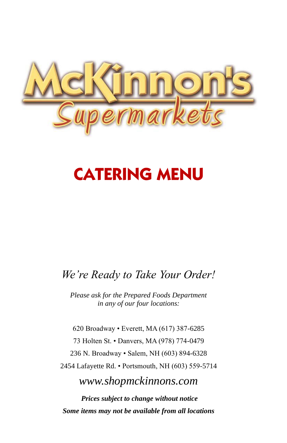

# **CATERING MENU**

### *We're Ready to Take Your Order!*

*Please ask for the Prepared Foods Department in any of our four locations:*

620 Broadway • Everett, MA (617) 387-6285 73 Holten St. • Danvers, MA (978) 774-0479 236 N. Broadway • Salem, NH (603) 894-6328 2454 Lafayette Rd. • Portsmouth, NH (603) 559-5714

*www.shopmckinnons.com*

*Prices subject to change without notice Some items may not be available from all locations*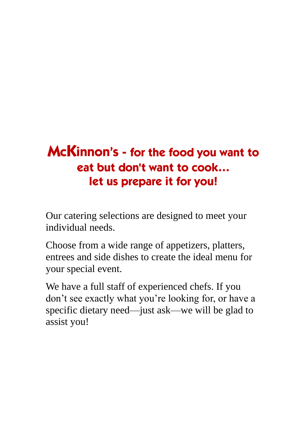# McKinnon's - for the food you want to eat but don't want to cook... let us prepare it for you!

Our catering selections are designed to meet your individual needs.

Choose from a wide range of appetizers, platters, entrees and side dishes to create the ideal menu for your special event.

We have a full staff of experienced chefs. If you don't see exactly what you're looking for, or have a specific dietary need—just ask—we will be glad to assist you!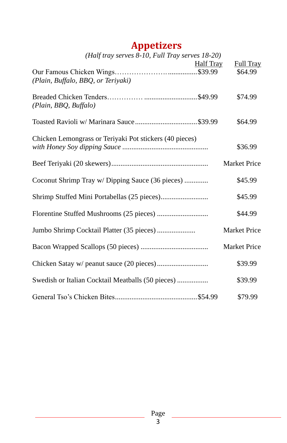## **Appetizers**

| (Half tray serves 8-10, Full Tray serves 18-20)         |                  |                     |
|---------------------------------------------------------|------------------|---------------------|
|                                                         | <b>Half Tray</b> | Full Tray           |
|                                                         |                  | \$64.99             |
| (Plain, Buffalo, BBQ, or Teriyaki)                      |                  |                     |
|                                                         |                  | \$74.99             |
| (Plain, BBQ, Buffalo)                                   |                  |                     |
|                                                         |                  |                     |
|                                                         |                  | \$64.99             |
|                                                         |                  |                     |
| Chicken Lemongrass or Teriyaki Pot stickers (40 pieces) |                  | \$36.99             |
|                                                         |                  |                     |
|                                                         |                  | <b>Market Price</b> |
|                                                         |                  |                     |
| Coconut Shrimp Tray w/ Dipping Sauce (36 pieces)        |                  | \$45.99             |
|                                                         |                  | \$45.99             |
|                                                         |                  |                     |
|                                                         |                  | \$44.99             |
|                                                         |                  | <b>Market Price</b> |
| Jumbo Shrimp Cocktail Platter (35 pieces)               |                  |                     |
|                                                         |                  | Market Price        |
|                                                         |                  |                     |
|                                                         |                  | \$39.99             |
| Swedish or Italian Cocktail Meatballs (50 pieces)       |                  | \$39.99             |
|                                                         |                  |                     |
|                                                         |                  | \$79.99             |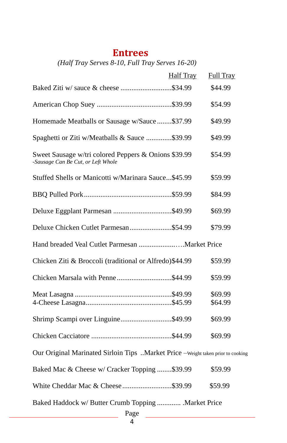### **Entrees**

*(Half Tray Serves 8-10, Full Tray Serves 16-20)*

| <b>Half Tray</b>                                                                           | Full Tray |  |
|--------------------------------------------------------------------------------------------|-----------|--|
| Baked Ziti w/ sauce & cheese \$34.99                                                       | \$44.99   |  |
|                                                                                            | \$54.99   |  |
| Homemade Meatballs or Sausage w/Sauce\$37.99                                               | \$49.99   |  |
| Spaghetti or Ziti w/Meatballs & Sauce \$39.99                                              | \$49.99   |  |
| Sweet Sausage w/tri colored Peppers & Onions \$39.99<br>-Sausage Can Be Cut, or Left Whole | \$54.99   |  |
| Stuffed Shells or Manicotti w/Marinara Sauce\$45.99                                        | \$59.99   |  |
|                                                                                            | \$84.99   |  |
| Deluxe Eggplant Parmesan \$49.99                                                           | \$69.99   |  |
| Deluxe Chicken Cutlet Parmesan\$54.99                                                      | \$79.99   |  |
|                                                                                            |           |  |
| Chicken Ziti & Broccoli (traditional or Alfredo)\$44.99                                    | \$59.99   |  |
| Chicken Marsala with Penne\$44.99                                                          | \$59.99   |  |
|                                                                                            | \$69.99   |  |
|                                                                                            | \$64.99   |  |
| Shrimp Scampi over Linguine\$49.99                                                         | \$69.99   |  |
|                                                                                            | \$69.99   |  |
| Our Original Marinated Sirloin Tips Market Price -Weight taken prior to cooking            |           |  |
| Baked Mac & Cheese w/ Cracker Topping \$39.99                                              | \$59.99   |  |
| White Cheddar Mac & Cheese \$39.99                                                         | \$59.99   |  |
| Baked Haddock w/ Butter Crumb Topping  Market Price<br>Page                                |           |  |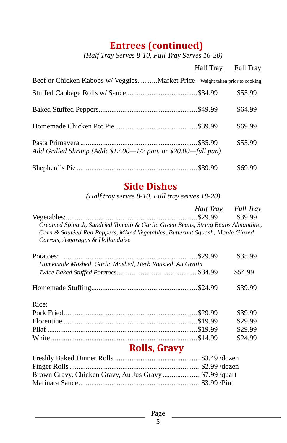### **Entrees (continued)**

*(Half Tray Serves 8-10, Full Tray Serves 16-20)*

|                                                                               | <b>Half Tray</b> Full Tray |         |
|-------------------------------------------------------------------------------|----------------------------|---------|
| Beef or Chicken Kabobs w/ VeggiesMarket Price - Weight taken prior to cooking |                            |         |
|                                                                               |                            | \$55.99 |
|                                                                               |                            | \$64.99 |
|                                                                               |                            | \$69.99 |
| Add Grilled Shrimp (Add: \$12.00—1/2 pan, or \$20.00—full pan)                |                            | \$55.99 |
|                                                                               |                            | \$69.99 |

### **Side Dishes**

*(Half tray serves 8-10, Full tray serves 18-20)*

|                                                                                | Half Trav | <b>Full Tray</b> |
|--------------------------------------------------------------------------------|-----------|------------------|
|                                                                                | \$29.99   | \$39.99          |
| Creamed Spinach, Sundried Tomato & Garlic Green Beans, String Beans Almandine, |           |                  |
| Corn & Sautéed Red Peppers, Mixed Vegetables, Butternut Squash, Maple Glazed   |           |                  |
| Carrots, Asparagus & Hollandaise                                               |           |                  |
|                                                                                |           | \$35.99          |
| Homemade Mashed, Garlic Mashed, Herb Roasted, Au Gratin                        |           |                  |
|                                                                                |           | \$54.99          |
|                                                                                |           | \$39.99          |
| Rice:                                                                          |           |                  |
|                                                                                |           | \$39.99          |
|                                                                                |           | \$29.99          |
|                                                                                |           | \$29.99          |
|                                                                                |           | \$24.99          |
| <b>Rolls, Gravy</b>                                                            |           |                  |
|                                                                                |           |                  |
|                                                                                |           |                  |
| Brown Gravy, Chicken Gravy, Au Jus Gravy \$7.99 /quart                         |           |                  |
|                                                                                |           |                  |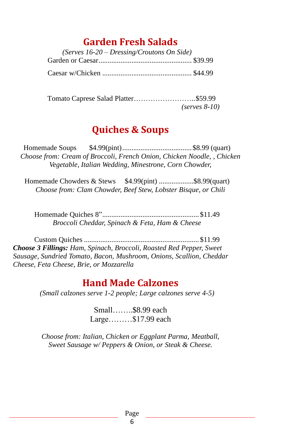### **Garden Fresh Salads**

| (Serves $16-20$ – Dressing/Croutons On Side) |  |
|----------------------------------------------|--|
|                                              |  |
|                                              |  |

 Tomato Caprese Salad Platter……………………..\$59.99  *(serves 8-10)*

### **Quiches & Soups**

Homemade Soups \$4.99(pint)...................................... \$8.99 (quart) *Choose from: Cream of Broccoli, French Onion, Chicken Noodle, , Chicken Vegetable, Italian Wedding, Minestrone, Corn Chowder,* 

Homemade Chowders & Stews \$4.99(pint) ..................\$8.99(quart) *Choose from: Clam Chowder, Beef Stew, Lobster Bisque, or Chili*

Homemade Quiches 8"..................................................... \$11.49 *Broccoli Cheddar, Spinach & Feta, Ham & Cheese*

Custom Quiches ............................................................... \$11.99 *Choose 3 Fillings: Ham, Spinach, Broccoli, Roasted Red Pepper, Sweet Sausage, Sundried Tomato, Bacon, Mushroom, Onions, Scallion, Cheddar Cheese, Feta Cheese, Brie, or Mozzarella*

### **Hand Made Calzones**

*(Small calzones serve 1-2 people; Large calzones serve 4-5)*

Small……..\$8.99 each Large………\$17.99 each

*Choose from: Italian, Chicken or Eggplant Parma, Meatball, Sweet Sausage w/ Peppers & Onion, or Steak & Cheese.*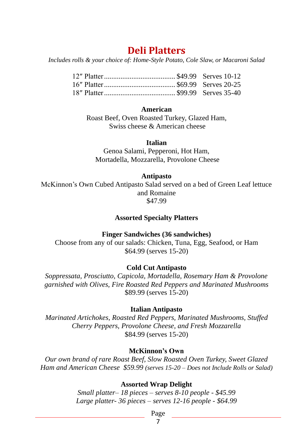### **Deli Platters**

*Includes rolls & your choice of: Home-Style Potato, Cole Slaw, or Macaroni Salad*

#### **American**

Roast Beef, Oven Roasted Turkey, Glazed Ham, Swiss cheese & American cheese

#### **Italian**

Genoa Salami, Pepperoni, Hot Ham, Mortadella, Mozzarella, Provolone Cheese

#### **Antipasto**

McKinnon's Own Cubed Antipasto Salad served on a bed of Green Leaf lettuce and Romaine \$47.99

#### **Assorted Specialty Platters**

#### **Finger Sandwiches (36 sandwiches)**

Choose from any of our salads: Chicken, Tuna, Egg, Seafood, or Ham \$64.99 (serves 15-20)

#### **Cold Cut Antipasto**

*Soppressata, Prosciutto, Capicola, Mortadella, Rosemary Ham & Provolone garnished with Olives, Fire Roasted Red Peppers and Marinated Mushrooms* \$89.99 (serves 15-20)

#### **Italian Antipasto**

*Marinated Artichokes, Roasted Red Peppers, Marinated Mushrooms, Stuffed Cherry Peppers, Provolone Cheese, and Fresh Mozzarella*  \$84.99 (serves 15-20)

#### **McKinnon's Own**

*Our own brand of rare Roast Beef, Slow Roasted Oven Turkey, Sweet Glazed Ham and American Cheese \$59.99 (serves 15-20 – Does not Include Rolls or Salad)*

#### **Assorted Wrap Delight**

*Small platter– 18 pieces – serves 8-10 people - \$45.99 Large platter- 36 pieces – serves 12-16 people - \$64.99*

Page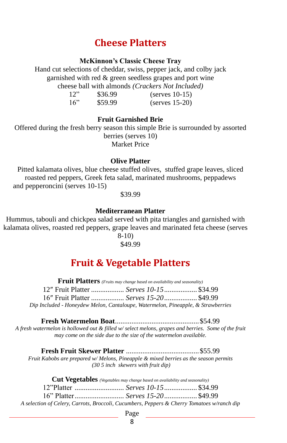### **Cheese Platters**

#### **McKinnon's Classic Cheese Tray**

Hand cut selections of cheddar, swiss, pepper jack, and colby jack garnished with red & green seedless grapes and port wine cheese ball with almonds *(Crackers Not Included)*

| 12" | \$36.99 | $(serves 10-15)$ |
|-----|---------|------------------|
| 16" | \$59.99 | $(serves 15-20)$ |

#### **Fruit Garnished Brie**

Offered during the fresh berry season this simple Brie is surrounded by assorted berries (serves 10) Market Price

#### **Olive Platter**

Pitted kalamata olives, blue cheese stuffed olives, stuffed grape leaves, sliced roasted red peppers, Greek feta salad, marinated mushrooms, peppadews and pepperoncini (serves 10-15)

\$39.99

#### **Mediterranean Platter**

Hummus, tabouli and chickpea salad served with pita triangles and garnished with kalamata olives, roasted red peppers, grape leaves and marinated feta cheese (serves 8-10)

\$49.99

### **Fruit & Vegetable Platters**

| <b>Fruit Platters</b> (Fruits may change based on availability and seasonality)  |                                         |  |  |
|----------------------------------------------------------------------------------|-----------------------------------------|--|--|
|                                                                                  | 12" Fruit Platter  Serves 10-15 \$34.99 |  |  |
|                                                                                  | 16" Fruit Platter  Serves 15-20 \$49.99 |  |  |
| Dip Included - Honeydew Melon, Cantaloupe, Watermelon, Pineapple, & Strawberries |                                         |  |  |

**Fresh Watermelon Boat**..............................................\$54.99 *A fresh watermelon is hollowed out & filled w/ select melons, grapes and berries. Some of the fruit may come on the side due to the size of the watermelon available.*

**Fresh Fruit Skewer Platter** ........................................\$55.99 *Fruit Kabobs are prepared w/ Melons, Pineapple & mixed berries as the season permits (30 5 inch skewers with fruit dip)*

|                                                                                            | <b>Cut Vegetables</b> (Vegetables may change based on availability and seasonality) |  |
|--------------------------------------------------------------------------------------------|-------------------------------------------------------------------------------------|--|
|                                                                                            |                                                                                     |  |
|                                                                                            |                                                                                     |  |
| A selection of Celery, Carrots, Broccoli, Cucumbers, Peppers & Cherry Tomatoes w/ranch dip |                                                                                     |  |

Page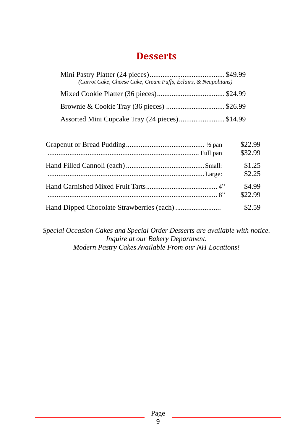### **Desserts**

| (Carrot Cake, Cheese Cake, Cream Puffs, Éclairs, & Neapolitans) |  |
|-----------------------------------------------------------------|--|
|                                                                 |  |
| Brownie & Cookie Tray (36 pieces)  \$26.99                      |  |
| Assorted Mini Cupcake Tray (24 pieces)\$14.99                   |  |

| \$22.99 |
|---------|
| \$32.99 |
| \$1.25  |
| \$2.25  |
| \$4.99  |
| \$22.99 |
| \$2.59  |

*Special Occasion Cakes and Special Order Desserts are available with notice. Inquire at our Bakery Department. Modern Pastry Cakes Available From our NH Locations!*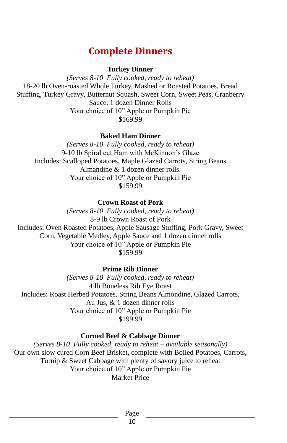### **Complete Dinners**

**Turkey Dinner**

*(Serves 8-10 Fully cooked, ready to reheat)* 18-20 lb Oven-roasted Whole Turkey, Mashed or Roasted Potatoes, Bread Stuffing, Turkey Gravy, Butternut Squash, Sweet Corn, Sweet Peas, Cranberry Sauce, 1 dozen Dinner Rolls Your choice of 10" Apple or Pumpkin Pie \$169.99

**Baked Ham Dinner** 

*(Serves 8-10 Fully cooked, ready to reheat)* 9-10 lb Spiral cut Ham with McKinnon's Glaze Includes: Scalloped Potatoes, Maple Glazed Carrots, String Beans Almandine & 1 dozen dinner rolls. Your choice of 10" Apple or Pumpkin Pie \$159.99

**Crown Roast of Pork** 

*(Serves 8-10 Fully cooked, ready to reheat)* 8-9 lb Crown Roast of Pork Includes: Oven Roasted Potatoes, Apple Sausage Stuffing, Pork Gravy, Sweet Corn, Vegetable Medley, Apple Sauce and 1 dozen dinner rolls Your choice of 10" Apple or Pumpkin Pie \$159.99

**Prime Rib Dinner**

*(Serves 8-10 Fully cooked, ready to reheat)* 4 lb Boneless Rib Eye Roast Includes: Roast Herbed Potatoes, String Beans Almondine, Glazed Carrots, Au Jus, & 1 dozen dinner rolls Your choice of 10" Apple or Pumpkin Pie \$199.99

#### **Corned Beef & Cabbage Dinner**

*(Serves 8-10 Fully cooked, ready to reheat – available seasonally)* Our own slow cured Corn Beef Brisket, complete with Boiled Potatoes, Carrots, Turnip & Sweet Cabbage with plenty of savory juice to reheat Your choice of 10" Apple or Pumpkin Pie Market Price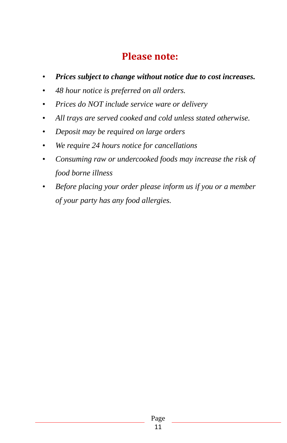### **Please note:**

- *Prices subject to change without notice due to cost increases.*
- *48 hour notice is preferred on all orders.*
- *Prices do NOT include service ware or delivery*
- *All trays are served cooked and cold unless stated otherwise.*
- *Deposit may be required on large orders*
- *We require 24 hours notice for cancellations*
- *Consuming raw or undercooked foods may increase the risk of food borne illness*
- *Before placing your order please inform us if you or a member of your party has any food allergies.*